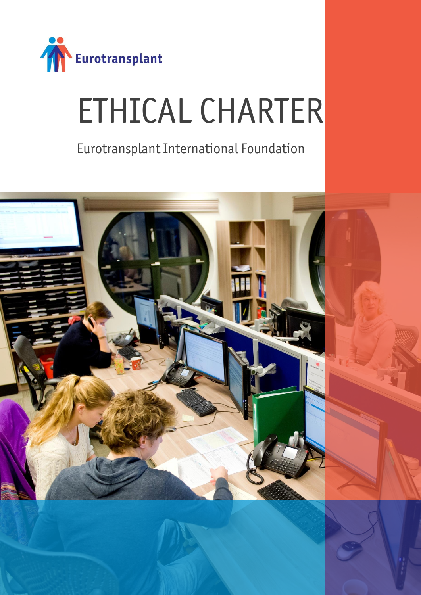

# ETHICAL CHARTER

Eurotransplant International Foundation

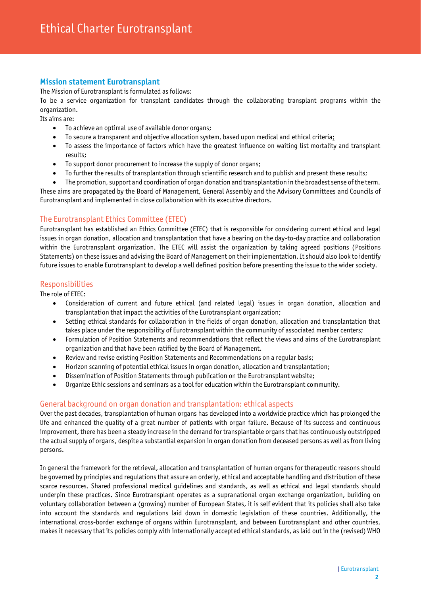# **Mission statement Eurotransplant**

The Mission of Eurotransplant is formulated as follows:

To be a service organization for transplant candidates through the collaborating transplant programs within the organization.

Its aims are:

- To achieve an optimal use of available donor organs;
- To secure a transparent and objective allocation system, based upon medical and ethical criteria;
- To assess the importance of factors which have the greatest influence on waiting list mortality and transplant results;
- To support donor procurement to increase the supply of donor organs;
- To further the results of transplantation through scientific research and to publish and present these results;
- The promotion, support and coordination of organ donation and transplantation in the broadest sense of the term.

These aims are propagated by the Board of Management, General Assembly and the Advisory Committees and Councils of Eurotransplant and implemented in close collaboration with its executive directors.

# The Eurotransplant Ethics Committee (ETEC)

Eurotransplant has established an Ethics Committee (ETEC) that is responsible for considering current ethical and legal issues in organ donation, allocation and transplantation that have a bearing on the day-to-day practice and collaboration within the Eurotransplant organization. The ETEC will assist the organization by taking agreed positions (Positions Statements) on these issues and advising the Board of Management on their implementation. It should also look to identify future issues to enable Eurotransplant to develop a well defined position before presenting the issue to the wider society.

# Responsibilities

The role of ETEC:

- Consideration of current and future ethical (and related legal) issues in organ donation, allocation and transplantation that impact the activities of the Eurotransplant organization;
- Setting ethical standards for collaboration in the fields of organ donation, allocation and transplantation that takes place under the responsibility of Eurotransplant within the community of associated member centers;
- Formulation of Position Statements and recommendations that reflect the views and aims of the Eurotransplant organization and that have been ratified by the Board of Management.
- Review and revise existing Position Statements and Recommendations on a regular basis;
- Horizon scanning of potential ethical issues in organ donation, allocation and transplantation;
- Dissemination of Position Statements through publication on the Eurotransplant website;
- Organize Ethic sessions and seminars as a tool for education within the Eurotransplant community.

# General background on organ donation and transplantation: ethical aspects

Over the past decades, transplantation of human organs has developed into a worldwide practice which has prolonged the life and enhanced the quality of a great number of patients with organ failure. Because of its success and continuous improvement, there has been a steady increase in the demand for transplantable organs that has continuously outstripped the actual supply of organs, despite a substantial expansion in organ donation from deceased persons as well as from living persons.

In general the framework for the retrieval, allocation and transplantation of human organs for therapeutic reasons should be governed by principles and regulations that assure an orderly, ethical and acceptable handling and distribution of these scarce resources. Shared professional medical guidelines and standards, as well as ethical and legal standards should underpin these practices. Since Eurotransplant operates as a supranational organ exchange organization, building on voluntary collaboration between a (growing) number of European States, it is self evident that its policies shall also take into account the standards and regulations laid down in domestic legislation of these countries. Additionally, the international cross-border exchange of organs within Eurotransplant, and between Eurotransplant and other countries, makes it necessary that its policies comply with internationally accepted ethical standards, as laid out in the (revised) WHO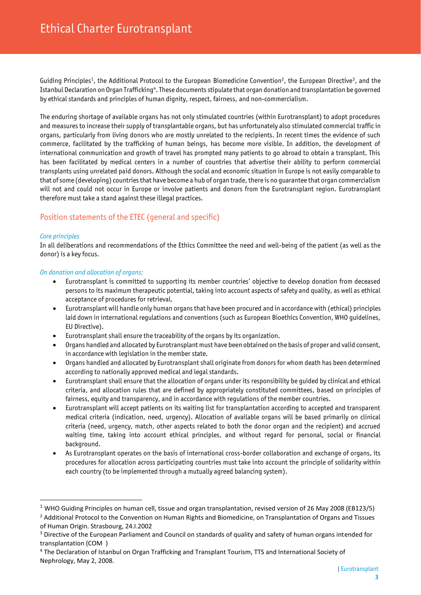Guiding Principles<sup>1</sup>, the Additional Protocol to the European Biomedicine Convention<sup>2</sup>, the European Directive<sup>3</sup>, and the Istanbul Declaration on Organ Trafficking<sup>4</sup>. These documents stipulate that organ donation and transplantation be governed by ethical standards and principles of human dignity, respect, fairness, and non-commercialism.

The enduring shortage of available organs has not only stimulated countries (within Eurotransplant) to adopt procedures and measures to increase their supply of transplantable organs, but has unfortunately also stimulated commercial traffic in organs, particularly from living donors who are mostly unrelated to the recipients. In recent times the evidence of such commerce, facilitated by the trafficking of human beings, has become more visible. In addition, the development of international communication and growth of travel has prompted many patients to go abroad to obtain a transplant. This has been facilitated by medical centers in a number of countries that advertise their ability to perform commercial transplants using unrelated paid donors. Although the social and economic situation in Europe is not easily comparable to that of some (developing) countries that have become a hub of organ trade, there is no guarantee that organ commercialism will not and could not occur in Europe or involve patients and donors from the Eurotransplant region. Eurotransplant therefore must take a stand against these illegal practices.

# Position statements of the ETEC (general and specific)

#### *Core principles*

In all deliberations and recommendations of the Ethics Committee the need and well-being of the patient (as well as the donor) is a key focus.

#### *On donation and allocation of organs:*

- Eurotransplant is committed to supporting its member countries' objective to develop donation from deceased persons to its maximum therapeutic potential, taking into account aspects of safety and quality, as well as ethical acceptance of procedures for retrieval.
- Eurotransplant will handle only human organs that have been procured and in accordance with (ethical) principles laid down in international regulations and conventions (such as European Bioethics Convention, WHO guidelines, EU Directive).
- Eurotransplant shall ensure the traceability of the organs by its organization.
- Organs handled and allocated by Eurotransplant must have been obtained on the basis of proper and valid consent, in accordance with legislation in the member state.
- Organs handled and allocated by Eurotransplant shall originate from donors for whom death has been determined according to nationally approved medical and legal standards.
- Eurotransplant shall ensure that the allocation of organs under its responsibility be guided by clinical and ethical criteria, and allocation rules that are defined by appropriately constituted committees, based on principles of fairness, equity and transparency, and in accordance with regulations of the member countries.
- Eurotransplant will accept patients on its waiting list for transplantation according to accepted and transparent medical criteria (indication, need, urgency). Allocation of available organs will be based primarily on clinical criteria (need, urgency, match, other aspects related to both the donor organ and the recipient) and accrued waiting time, taking into account ethical principles, and without regard for personal, social or financial background.
- As Eurotransplant operates on the basis of international cross-border collaboration and exchange of organs, its procedures for allocation across participating countries must take into account the principle of solidarity within each country (to be implemented through a mutually agreed balancing system).

<sup>1</sup> WHO Guiding Principles on human cell, tissue and organ transplantation, revised version of 26 May 2008 (EB123/5)

<sup>&</sup>lt;sup>2</sup> Additional Protocol to the Convention on Human Rights and Biomedicine, on Transplantation of Organs and Tissues of Human Origin. Strasbourg, 24.I.2002

<sup>3</sup> Directive of the European Parliament and Council on standards of quality and safety of human organs intended for transplantation (COM )

<sup>4</sup> The Declaration of Istanbul on Organ Trafficking and Transplant Tourism, TTS and International Society of Nephrology, May 2, 2008.